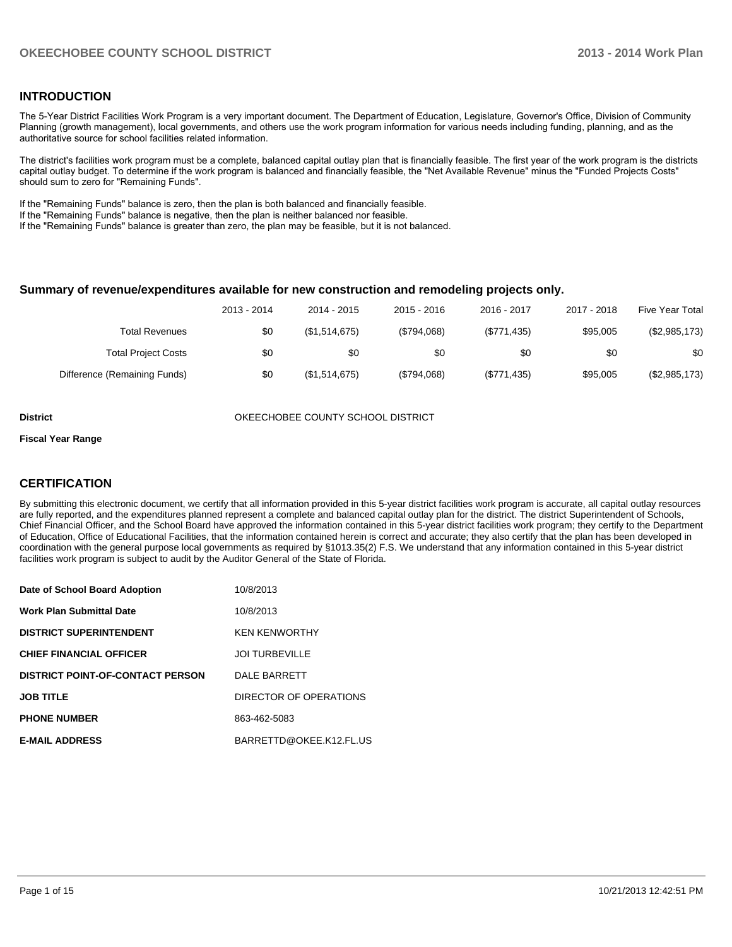#### **INTRODUCTION**

The 5-Year District Facilities Work Program is a very important document. The Department of Education, Legislature, Governor's Office, Division of Community Planning (growth management), local governments, and others use the work program information for various needs including funding, planning, and as the authoritative source for school facilities related information.

The district's facilities work program must be a complete, balanced capital outlay plan that is financially feasible. The first year of the work program is the districts capital outlay budget. To determine if the work program is balanced and financially feasible, the "Net Available Revenue" minus the "Funded Projects Costs" should sum to zero for "Remaining Funds".

If the "Remaining Funds" balance is zero, then the plan is both balanced and financially feasible.

If the "Remaining Funds" balance is negative, then the plan is neither balanced nor feasible.

If the "Remaining Funds" balance is greater than zero, the plan may be feasible, but it is not balanced.

#### **Summary of revenue/expenditures available for new construction and remodeling projects only.**

| Five Year Total | 2017 - 2018 | 2016 - 2017 | $2015 - 2016$ | 2014 - 2015   | 2013 - 2014 |                              |
|-----------------|-------------|-------------|---------------|---------------|-------------|------------------------------|
| (\$2,985,173)   | \$95,005    | (\$771,435) | (\$794.068)   | (\$1,514,675) | \$0         | Total Revenues               |
| \$0             | \$0         | \$0         | \$0           | \$0           | \$0         | <b>Total Project Costs</b>   |
| (\$2,985,173)   | \$95,005    | (\$771,435) | (\$794.068)   | (\$1,514,675) | \$0         | Difference (Remaining Funds) |

**District COUNTY SCHOOL DISTRICT** OKEECHOBEE COUNTY SCHOOL DISTRICT

#### **Fiscal Year Range**

#### **CERTIFICATION**

By submitting this electronic document, we certify that all information provided in this 5-year district facilities work program is accurate, all capital outlay resources are fully reported, and the expenditures planned represent a complete and balanced capital outlay plan for the district. The district Superintendent of Schools, Chief Financial Officer, and the School Board have approved the information contained in this 5-year district facilities work program; they certify to the Department of Education, Office of Educational Facilities, that the information contained herein is correct and accurate; they also certify that the plan has been developed in coordination with the general purpose local governments as required by §1013.35(2) F.S. We understand that any information contained in this 5-year district facilities work program is subject to audit by the Auditor General of the State of Florida.

| Date of School Board Adoption           | 10/8/2013               |
|-----------------------------------------|-------------------------|
| <b>Work Plan Submittal Date</b>         | 10/8/2013               |
| <b>DISTRICT SUPERINTENDENT</b>          | <b>KEN KENWORTHY</b>    |
| <b>CHIEF FINANCIAL OFFICER</b>          | <b>JOI TURBEVILLE</b>   |
| <b>DISTRICT POINT-OF-CONTACT PERSON</b> | <b>DALE BARRETT</b>     |
| <b>JOB TITLE</b>                        | DIRECTOR OF OPERATIONS  |
| <b>PHONE NUMBER</b>                     | 863-462-5083            |
| <b>E-MAIL ADDRESS</b>                   | BARRETTD@OKEE.K12.FL.US |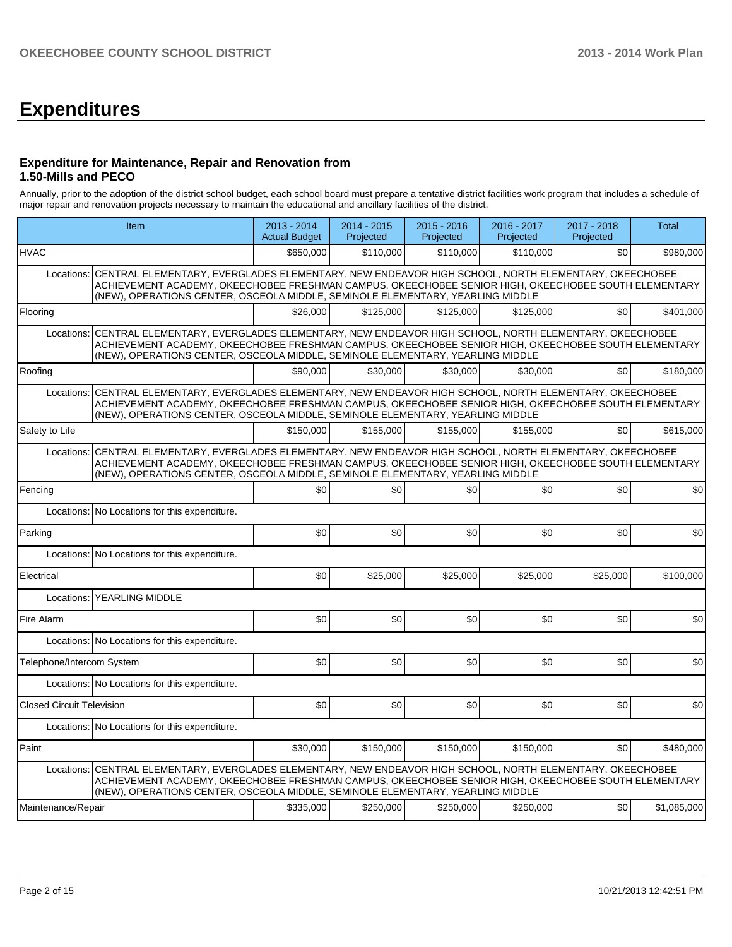# **Expenditures**

#### **Expenditure for Maintenance, Repair and Renovation from 1.50-Mills and PECO**

Annually, prior to the adoption of the district school budget, each school board must prepare a tentative district facilities work program that includes a schedule of major repair and renovation projects necessary to maintain the educational and ancillary facilities of the district.

|                                  | Item                                                                                                                                                                                                                                                                                        | 2013 - 2014<br><b>Actual Budget</b> | 2014 - 2015<br>Projected | 2015 - 2016<br>Projected | 2016 - 2017<br>Projected | 2017 - 2018<br>Projected | Total       |  |  |  |
|----------------------------------|---------------------------------------------------------------------------------------------------------------------------------------------------------------------------------------------------------------------------------------------------------------------------------------------|-------------------------------------|--------------------------|--------------------------|--------------------------|--------------------------|-------------|--|--|--|
| <b>HVAC</b>                      |                                                                                                                                                                                                                                                                                             | \$650,000                           | \$110,000                | \$110.000                | \$110,000                | \$0                      | \$980,000   |  |  |  |
| Locations:                       | CENTRAL ELEMENTARY, EVERGLADES ELEMENTARY, NEW ENDEAVOR HIGH SCHOOL, NORTH ELEMENTARY, OKEECHOBEE<br>ACHIEVEMENT ACADEMY, OKEECHOBEE FRESHMAN CAMPUS, OKEECHOBEE SENIOR HIGH, OKEECHOBEE SOUTH ELEMENTARY<br>(NEW), OPERATIONS CENTER, OSCEOLA MIDDLE, SEMINOLE ELEMENTARY, YEARLING MIDDLE |                                     |                          |                          |                          |                          |             |  |  |  |
| Flooring                         |                                                                                                                                                                                                                                                                                             | \$26,000                            | \$125,000                | \$125,000                | \$125,000                | \$0                      | \$401,000   |  |  |  |
| Locations:                       | CENTRAL ELEMENTARY, EVERGLADES ELEMENTARY, NEW ENDEAVOR HIGH SCHOOL, NORTH ELEMENTARY, OKEECHOBEE<br>ACHIEVEMENT ACADEMY, OKEECHOBEE FRESHMAN CAMPUS, OKEECHOBEE SENIOR HIGH, OKEECHOBEE SOUTH ELEMENTARY                                                                                   |                                     |                          |                          |                          |                          |             |  |  |  |
| Roofing                          |                                                                                                                                                                                                                                                                                             | \$90,000                            | \$30,000                 | \$30,000                 | \$30,000                 | \$0                      | \$180,000   |  |  |  |
| Locations:                       | CENTRAL ELEMENTARY, EVERGLADES ELEMENTARY, NEW ENDEAVOR HIGH SCHOOL, NORTH ELEMENTARY, OKEECHOBEE<br>ACHIEVEMENT ACADEMY, OKEECHOBEE FRESHMAN CAMPUS, OKEECHOBEE SENIOR HIGH, OKEECHOBEE SOUTH ELEMENTARY<br>(NEW), OPERATIONS CENTER, OSCEOLA MIDDLE, SEMINOLE ELEMENTARY, YEARLING MIDDLE |                                     |                          |                          |                          |                          |             |  |  |  |
| Safety to Life                   |                                                                                                                                                                                                                                                                                             | \$150,000                           | \$155,000                | \$155,000                | \$155,000                | \$0                      | \$615,000   |  |  |  |
| Locations:                       | CENTRAL ELEMENTARY, EVERGLADES ELEMENTARY, NEW ENDEAVOR HIGH SCHOOL, NORTH ELEMENTARY, OKEECHOBEE<br>ACHIEVEMENT ACADEMY, OKEECHOBEE FRESHMAN CAMPUS, OKEECHOBEE SENIOR HIGH, OKEECHOBEE SOUTH ELEMENTARY<br>(NEW), OPERATIONS CENTER, OSCEOLA MIDDLE, SEMINOLE ELEMENTARY, YEARLING MIDDLE |                                     |                          |                          |                          |                          |             |  |  |  |
| Fencing                          |                                                                                                                                                                                                                                                                                             | \$0 <sub>1</sub>                    | \$0                      | \$0                      | \$0                      | \$0                      | \$0         |  |  |  |
| Locations:                       | No Locations for this expenditure.                                                                                                                                                                                                                                                          |                                     |                          |                          |                          |                          |             |  |  |  |
| Parking                          |                                                                                                                                                                                                                                                                                             | \$0                                 | \$0                      | \$0                      | \$0                      | \$0                      | \$0         |  |  |  |
| Locations:                       | No Locations for this expenditure.                                                                                                                                                                                                                                                          |                                     |                          |                          |                          |                          |             |  |  |  |
| Electrical                       |                                                                                                                                                                                                                                                                                             | \$0                                 | \$25,000                 | \$25,000                 | \$25,000                 | \$25,000                 | \$100,000   |  |  |  |
| Locations:                       | <b>YEARLING MIDDLE</b>                                                                                                                                                                                                                                                                      |                                     |                          |                          |                          |                          |             |  |  |  |
| Fire Alarm                       |                                                                                                                                                                                                                                                                                             | \$0                                 | \$0                      | \$0                      | \$0                      | \$0                      | \$0         |  |  |  |
|                                  | Locations: No Locations for this expenditure.                                                                                                                                                                                                                                               |                                     |                          |                          |                          |                          |             |  |  |  |
| Telephone/Intercom System        |                                                                                                                                                                                                                                                                                             | \$0                                 | \$0                      | \$0                      | \$0                      | \$0                      | \$0         |  |  |  |
|                                  | Locations: No Locations for this expenditure.                                                                                                                                                                                                                                               |                                     |                          |                          |                          |                          |             |  |  |  |
| <b>Closed Circuit Television</b> |                                                                                                                                                                                                                                                                                             | \$0                                 | \$0                      | \$0                      | \$0                      | \$0                      | \$0         |  |  |  |
|                                  | Locations: No Locations for this expenditure.                                                                                                                                                                                                                                               |                                     |                          |                          |                          |                          |             |  |  |  |
| Paint                            |                                                                                                                                                                                                                                                                                             | \$30,000                            | \$150,000                | \$150,000                | \$150,000                | \$0                      | \$480,000   |  |  |  |
| Locations:                       | CENTRAL ELEMENTARY, EVERGLADES ELEMENTARY, NEW ENDEAVOR HIGH SCHOOL, NORTH ELEMENTARY, OKEECHOBEE<br>ACHIEVEMENT ACADEMY, OKEECHOBEE FRESHMAN CAMPUS, OKEECHOBEE SENIOR HIGH, OKEECHOBEE SOUTH ELEMENTARY<br>(NEW), OPERATIONS CENTER, OSCEOLA MIDDLE, SEMINOLE ELEMENTARY, YEARLING MIDDLE |                                     |                          |                          |                          |                          |             |  |  |  |
| Maintenance/Repair               |                                                                                                                                                                                                                                                                                             | \$335,000                           | \$250,000                | \$250,000                | \$250,000                | \$0                      | \$1,085,000 |  |  |  |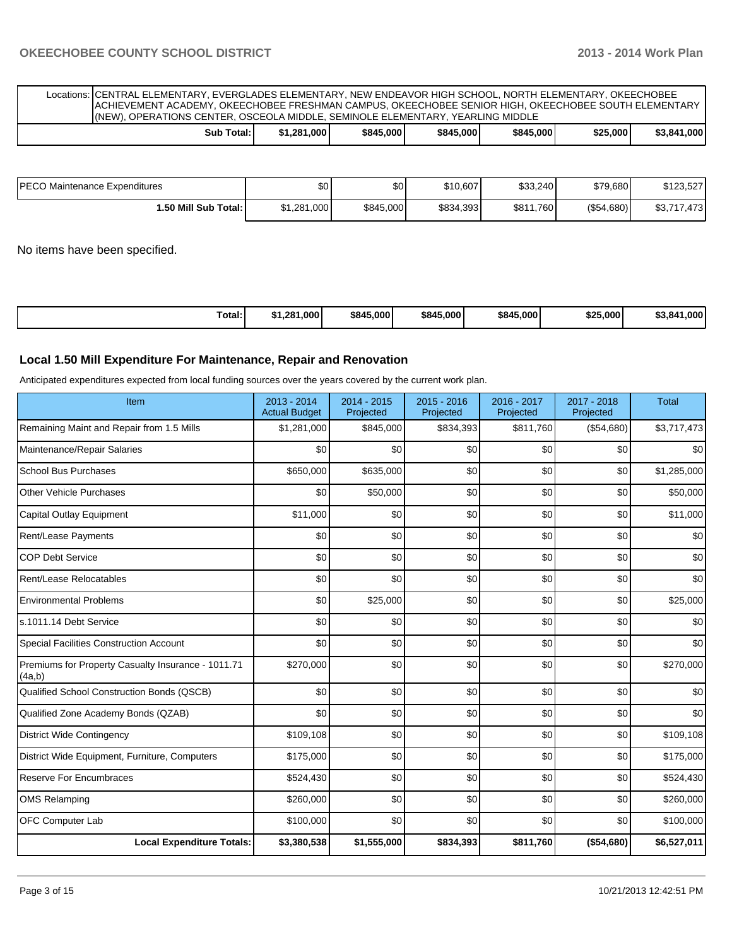Locations: CENTRAL ELEMENTARY, EVERGLADES ELEMENTARY, NEW ENDEAVOR HIGH SCHOOL, NORTH ELEMENTARY, OKEECHOBEE ACHIEVEMENT ACADEMY, OKEECHOBEE FRESHMAN CAMPUS, OKEECHOBEE SENIOR HIGH, OKEECHOBEE SOUTH ELEMENTARY (NEW), OPERATIONS CENTER, OSCEOLA MIDDLE, SEMINOLE ELEMENTARY, YEARLING MIDDLE

|  | $\sim$<br>Sub<br>Total: | .000'<br>1.28'' | \$845,000 | \$845,000 | \$845,000 | \$25,000 | \$3,841,000 |
|--|-------------------------|-----------------|-----------|-----------|-----------|----------|-------------|
|--|-------------------------|-----------------|-----------|-----------|-----------|----------|-------------|

| IPECO Maintenance Expenditures | \$0         | \$0       | \$10,607  | \$33,240  | \$79,680      | \$123.527   |
|--------------------------------|-------------|-----------|-----------|-----------|---------------|-------------|
| <b>.50 Mill Sub Total:</b> I   | \$1,281,000 | \$845,000 | \$834,393 | \$811,760 | $($ \$54,680) | \$3,717,473 |

No items have been specified.

| Total:<br>1.000'<br>1.28′د<br>. | \$845,000 | \$845,000 | \$845,000 | \$25,000 | 1.000<br>3.841 س |
|---------------------------------|-----------|-----------|-----------|----------|------------------|
|---------------------------------|-----------|-----------|-----------|----------|------------------|

#### **Local 1.50 Mill Expenditure For Maintenance, Repair and Renovation**

Anticipated expenditures expected from local funding sources over the years covered by the current work plan.

| Item                                                         | 2013 - 2014<br><b>Actual Budget</b> | 2014 - 2015<br>Projected | $2015 - 2016$<br>Projected | 2016 - 2017<br>Projected | 2017 - 2018<br>Projected | <b>Total</b> |
|--------------------------------------------------------------|-------------------------------------|--------------------------|----------------------------|--------------------------|--------------------------|--------------|
| Remaining Maint and Repair from 1.5 Mills                    | \$1,281,000                         | \$845,000                | \$834,393                  | \$811,760                | (\$54,680)               | \$3,717,473  |
| Maintenance/Repair Salaries                                  | \$0                                 | \$0                      | \$0                        | \$0                      | \$0                      | \$0          |
| <b>School Bus Purchases</b>                                  | \$650,000                           | \$635,000                | \$0                        | \$0                      | \$0                      | \$1,285,000  |
| <b>Other Vehicle Purchases</b>                               | \$0                                 | \$50,000                 | \$0                        | \$0                      | \$0                      | \$50,000     |
| Capital Outlay Equipment                                     | \$11,000                            | \$0                      | \$0                        | \$0                      | \$0                      | \$11,000     |
| Rent/Lease Payments                                          | \$0                                 | \$0                      | \$0                        | \$0                      | \$0                      | \$0          |
| <b>COP Debt Service</b>                                      | \$0                                 | \$0                      | \$0                        | \$0                      | \$0                      | \$0          |
| Rent/Lease Relocatables                                      | \$0                                 | \$0                      | \$0                        | \$0                      | \$0                      | \$0          |
| <b>Environmental Problems</b>                                | \$0                                 | \$25,000                 | \$0                        | \$0                      | \$0                      | \$25,000     |
| s.1011.14 Debt Service                                       | \$0                                 | \$0                      | \$0                        | \$0                      | \$0                      | \$0          |
| <b>Special Facilities Construction Account</b>               | \$0                                 | \$0                      | \$0                        | \$0                      | \$0                      | \$0          |
| Premiums for Property Casualty Insurance - 1011.71<br>(4a,b) | \$270,000                           | \$0                      | \$0                        | \$0                      | \$0                      | \$270,000    |
| Qualified School Construction Bonds (QSCB)                   | \$0                                 | \$0                      | \$0                        | \$0                      | \$0                      | \$0          |
| Qualified Zone Academy Bonds (QZAB)                          | \$0                                 | \$0                      | \$0                        | \$0                      | \$0                      | \$0          |
| <b>District Wide Contingency</b>                             | \$109,108                           | \$0                      | \$0                        | \$0                      | \$0                      | \$109,108    |
| District Wide Equipment, Furniture, Computers                | \$175,000                           | \$0                      | \$0                        | \$0                      | \$0                      | \$175,000    |
| <b>Reserve For Encumbraces</b>                               | \$524,430                           | \$0                      | \$0                        | \$0                      | \$0                      | \$524,430    |
| <b>OMS Relamping</b>                                         | \$260,000                           | \$0                      | \$0                        | \$0                      | \$0                      | \$260,000    |
| OFC Computer Lab                                             | \$100,000                           | \$0                      | \$0                        | \$0                      | \$0                      | \$100,000    |
| <b>Local Expenditure Totals:</b>                             | \$3,380,538                         | \$1,555,000              | \$834,393                  | \$811,760                | (\$54,680)               | \$6,527,011  |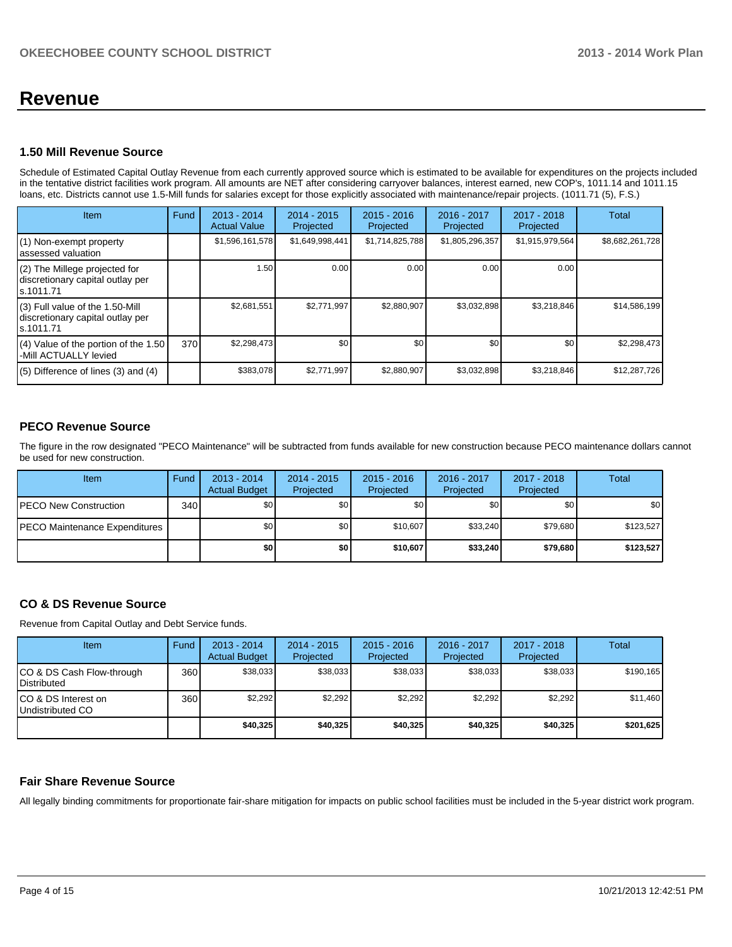## **Revenue**

#### **1.50 Mill Revenue Source**

Schedule of Estimated Capital Outlay Revenue from each currently approved source which is estimated to be available for expenditures on the projects included in the tentative district facilities work program. All amounts are NET after considering carryover balances, interest earned, new COP's, 1011.14 and 1011.15 loans, etc. Districts cannot use 1.5-Mill funds for salaries except for those explicitly associated with maintenance/repair projects. (1011.71 (5), F.S.)

| Item                                                                              | Fund | $2013 - 2014$<br><b>Actual Value</b> | $2014 - 2015$<br>Projected | $2015 - 2016$<br>Projected | $2016 - 2017$<br>Projected | $2017 - 2018$<br>Projected | <b>Total</b>    |
|-----------------------------------------------------------------------------------|------|--------------------------------------|----------------------------|----------------------------|----------------------------|----------------------------|-----------------|
| (1) Non-exempt property<br>assessed valuation                                     |      | \$1,596,161,578                      | \$1,649,998,441            | \$1,714,825,788            | \$1,805,296,357            | \$1,915,979,564            | \$8,682,261,728 |
| (2) The Millege projected for<br>discretionary capital outlay per<br>ls.1011.71   |      | 1.50                                 | 0.00                       | 0.00                       | 0.001                      | 0.00                       |                 |
| (3) Full value of the 1.50-Mill<br>discretionary capital outlay per<br>ls.1011.71 |      | \$2,681,551                          | \$2,771,997                | \$2,880,907                | \$3,032,898                | \$3,218,846                | \$14,586,199    |
| (4) Value of the portion of the 1.50<br>-Mill ACTUALLY levied                     | 370  | \$2,298,473                          | \$0                        | \$0                        | \$0                        | \$0                        | \$2,298,473     |
| $(5)$ Difference of lines $(3)$ and $(4)$                                         |      | \$383,078                            | \$2.771.997                | \$2,880,907                | \$3,032,898                | \$3,218,846                | \$12,287,726    |

#### **PECO Revenue Source**

The figure in the row designated "PECO Maintenance" will be subtracted from funds available for new construction because PECO maintenance dollars cannot be used for new construction.

| <b>Item</b>                           | Fund | $2013 - 2014$<br><b>Actual Budget</b> | $2014 - 2015$<br>Projected | $2015 - 2016$<br><b>Projected</b> | 2016 - 2017<br>Projected | 2017 - 2018<br>Projected | Total     |
|---------------------------------------|------|---------------------------------------|----------------------------|-----------------------------------|--------------------------|--------------------------|-----------|
| <b>IPECO New Construction</b>         | 340  | \$0                                   | \$0 <sub>1</sub>           | \$0                               | \$0 I                    | \$0                      | \$0       |
| <b>IPECO Maintenance Expenditures</b> |      | \$0                                   | \$0                        | \$10,607                          | \$33.240                 | \$79,680                 | \$123,527 |
|                                       |      | \$0                                   | \$0                        | \$10,607                          | \$33.240                 | \$79,680                 | \$123,527 |

#### **CO & DS Revenue Source**

Revenue from Capital Outlay and Debt Service funds.

| Item                                             | Fund | $2013 - 2014$<br><b>Actual Budget</b> | $2014 - 2015$<br>Projected | $2015 - 2016$<br>Projected | 2016 - 2017<br>Projected | 2017 - 2018<br>Projected | Total     |
|--------------------------------------------------|------|---------------------------------------|----------------------------|----------------------------|--------------------------|--------------------------|-----------|
| ICO & DS Cash Flow-through<br><b>Distributed</b> | 360  | \$38.033                              | \$38.033                   | \$38,033                   | \$38,033                 | \$38,033                 | \$190,165 |
| ICO & DS Interest on<br>Undistributed CO         | 360  | \$2,292                               | \$2,292                    | \$2,292                    | \$2,292                  | \$2,292                  | \$11,460  |
|                                                  |      | \$40,325                              | \$40,325                   | \$40,325                   | \$40,325                 | \$40,325                 | \$201,625 |

#### **Fair Share Revenue Source**

All legally binding commitments for proportionate fair-share mitigation for impacts on public school facilities must be included in the 5-year district work program.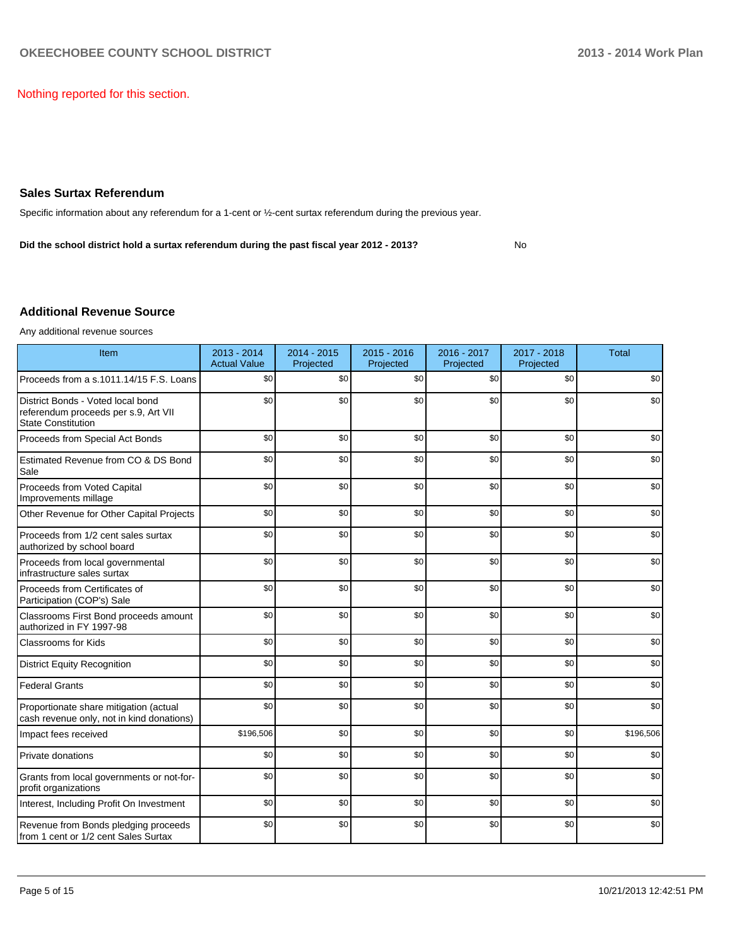Nothing reported for this section.

#### **Sales Surtax Referendum**

Specific information about any referendum for a 1-cent or ½-cent surtax referendum during the previous year.

**Did the school district hold a surtax referendum during the past fiscal year 2012 - 2013?**

No

#### **Additional Revenue Source**

Any additional revenue sources

| Item                                                                                                   | $2013 - 2014$<br><b>Actual Value</b> | 2014 - 2015<br>Projected | $2015 - 2016$<br>Projected | 2016 - 2017<br>Projected | 2017 - 2018<br>Projected | <b>Total</b> |
|--------------------------------------------------------------------------------------------------------|--------------------------------------|--------------------------|----------------------------|--------------------------|--------------------------|--------------|
| Proceeds from a s.1011.14/15 F.S. Loans                                                                | \$0                                  | \$0                      | \$0                        | \$0                      | \$0                      | \$0          |
| District Bonds - Voted local bond<br>referendum proceeds per s.9, Art VII<br><b>State Constitution</b> | \$0                                  | \$0                      | \$0                        | \$0                      | \$0                      | \$0          |
| Proceeds from Special Act Bonds                                                                        | \$0                                  | \$0                      | \$0                        | \$0                      | \$0                      | \$0          |
| Estimated Revenue from CO & DS Bond<br>Sale                                                            | \$0                                  | \$0                      | \$0                        | \$0                      | \$0                      | \$0          |
| Proceeds from Voted Capital<br>Improvements millage                                                    | \$0                                  | \$0                      | \$0                        | \$0                      | \$0                      | \$0          |
| Other Revenue for Other Capital Projects                                                               | \$0                                  | \$0                      | \$0                        | \$0                      | \$0                      | \$0          |
| Proceeds from 1/2 cent sales surtax<br>authorized by school board                                      | \$0                                  | \$0                      | \$0                        | \$0                      | \$0                      | \$0          |
| Proceeds from local governmental<br>infrastructure sales surtax                                        | \$0                                  | \$0                      | \$0                        | \$0                      | \$0                      | \$0          |
| Proceeds from Certificates of<br>Participation (COP's) Sale                                            | \$0                                  | \$0                      | \$0                        | \$0                      | \$0                      | \$0          |
| Classrooms First Bond proceeds amount<br>authorized in FY 1997-98                                      | \$0                                  | \$0                      | \$0                        | \$0                      | \$0                      | \$0          |
| <b>Classrooms for Kids</b>                                                                             | \$0                                  | \$0                      | \$0                        | \$0                      | \$0                      | \$0          |
| <b>District Equity Recognition</b>                                                                     | \$0                                  | \$0                      | \$0                        | \$0                      | \$0                      | \$0          |
| <b>Federal Grants</b>                                                                                  | \$0                                  | \$0                      | \$0                        | \$0                      | \$0                      | \$0          |
| Proportionate share mitigation (actual<br>cash revenue only, not in kind donations)                    | \$0                                  | \$0                      | \$0                        | \$0                      | \$0                      | \$0          |
| Impact fees received                                                                                   | \$196,506                            | \$0                      | \$0                        | \$0                      | \$0                      | \$196,506    |
| Private donations                                                                                      | \$0                                  | \$0                      | \$0                        | \$0                      | \$0                      | \$0          |
| Grants from local governments or not-for-<br>profit organizations                                      | \$0                                  | \$0                      | \$0                        | \$0                      | \$0                      | \$0          |
| Interest, Including Profit On Investment                                                               | \$0                                  | \$0                      | \$0                        | \$0                      | \$0                      | \$0          |
| Revenue from Bonds pledging proceeds<br>from 1 cent or 1/2 cent Sales Surtax                           | \$0                                  | \$0                      | \$0                        | \$0                      | \$0                      | \$0          |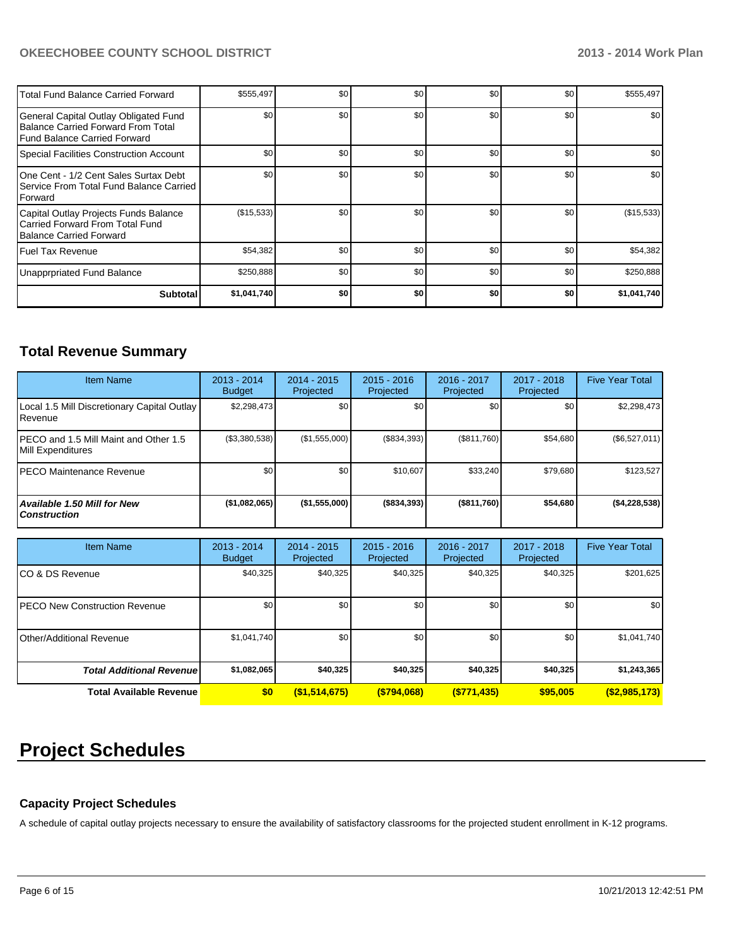#### **OKEECHOBEE COUNTY SCHOOL DISTRICT 2013 - 2014 Work Plan**

| Total Fund Balance Carried Forward                                                                            | \$555,497   | \$0 | \$0 | \$0 | \$0              | \$555,497   |
|---------------------------------------------------------------------------------------------------------------|-------------|-----|-----|-----|------------------|-------------|
| General Capital Outlay Obligated Fund<br>Balance Carried Forward From Total<br>l Fund Balance Carried Forward | \$0         | \$0 | \$0 | \$0 | \$0              | \$0         |
| Special Facilities Construction Account                                                                       | \$0         | \$0 | \$0 | \$0 | \$0              | \$0         |
| 10ne Cent - 1/2 Cent Sales Surtax Debt<br>Service From Total Fund Balance Carried<br><b>IForward</b>          | \$0         | \$0 | \$0 | \$0 | \$0              | \$0         |
| Capital Outlay Projects Funds Balance<br>Carried Forward From Total Fund<br>Balance Carried Forward           | (\$15,533)  | \$0 | \$0 | \$0 | \$0              | (\$15,533)  |
| l Fuel Tax Revenue                                                                                            | \$54,382    | \$0 | \$0 | \$0 | \$0 <sub>1</sub> | \$54,382    |
| Unapprpriated Fund Balance                                                                                    | \$250,888   | \$0 | \$0 | \$0 | \$0 <sub>1</sub> | \$250,888   |
| <b>Subtotal</b>                                                                                               | \$1,041,740 | \$0 | \$0 | \$0 | \$0              | \$1,041,740 |

### **Total Revenue Summary**

| <b>Item Name</b>                                                  | $2013 - 2014$<br><b>Budget</b> | $2014 - 2015$<br>Projected | $2015 - 2016$<br>Projected | $2016 - 2017$<br>Projected | $2017 - 2018$<br>Projected | <b>Five Year Total</b> |
|-------------------------------------------------------------------|--------------------------------|----------------------------|----------------------------|----------------------------|----------------------------|------------------------|
| Local 1.5 Mill Discretionary Capital Outlay<br><b>I</b> Revenue   | \$2,298,473                    | \$0                        | \$0                        | \$0                        | \$0                        | \$2,298,473            |
| <b>PECO</b> and 1.5 Mill Maint and Other 1.5<br>Mill Expenditures | (\$3,380,538)                  | (\$1,555,000)              | (S834.393)                 | (S811,760)                 | \$54,680                   | (\$6,527,011)          |
| <b>IPECO Maintenance Revenue</b>                                  | \$0                            | \$0                        | \$10.607                   | \$33.240                   | \$79.680                   | \$123,527              |
| Available 1.50 Mill for New<br>l Construction                     | (\$1,082,065)                  | (\$1,555,000)              | ( \$834, 393)              | $($ \$811,760)             | \$54,680                   | (\$4,228,538)          |

| <b>Item Name</b>                      | 2013 - 2014<br><b>Budget</b> | $2014 - 2015$<br>Projected | $2015 - 2016$<br>Projected | 2016 - 2017<br>Projected | 2017 - 2018<br>Projected | <b>Five Year Total</b> |
|---------------------------------------|------------------------------|----------------------------|----------------------------|--------------------------|--------------------------|------------------------|
| ICO & DS Revenue                      | \$40,325                     | \$40,325                   | \$40,325                   | \$40,325                 | \$40.325                 | \$201,625              |
| <b>IPECO New Construction Revenue</b> | \$0                          | \$0                        | \$0                        | \$0 <sub>1</sub>         | \$0 <sub>1</sub>         | \$0                    |
| IOther/Additional Revenue             | \$1,041,740                  | \$0                        | \$0                        | \$0 <sub>1</sub>         | \$0 <sub>1</sub>         | \$1,041,740            |
| <b>Total Additional Revenuel</b>      | \$1,082,065                  | \$40,325                   | \$40,325                   | \$40,325                 | \$40,325                 | \$1,243,365            |
| <b>Total Available Revenue</b>        | \$0                          | (\$1,514,675)              | ( \$794,068)               | (S771, 435)              | \$95,005                 | $($ \$2,985,173)       |

# **Project Schedules**

#### **Capacity Project Schedules**

A schedule of capital outlay projects necessary to ensure the availability of satisfactory classrooms for the projected student enrollment in K-12 programs.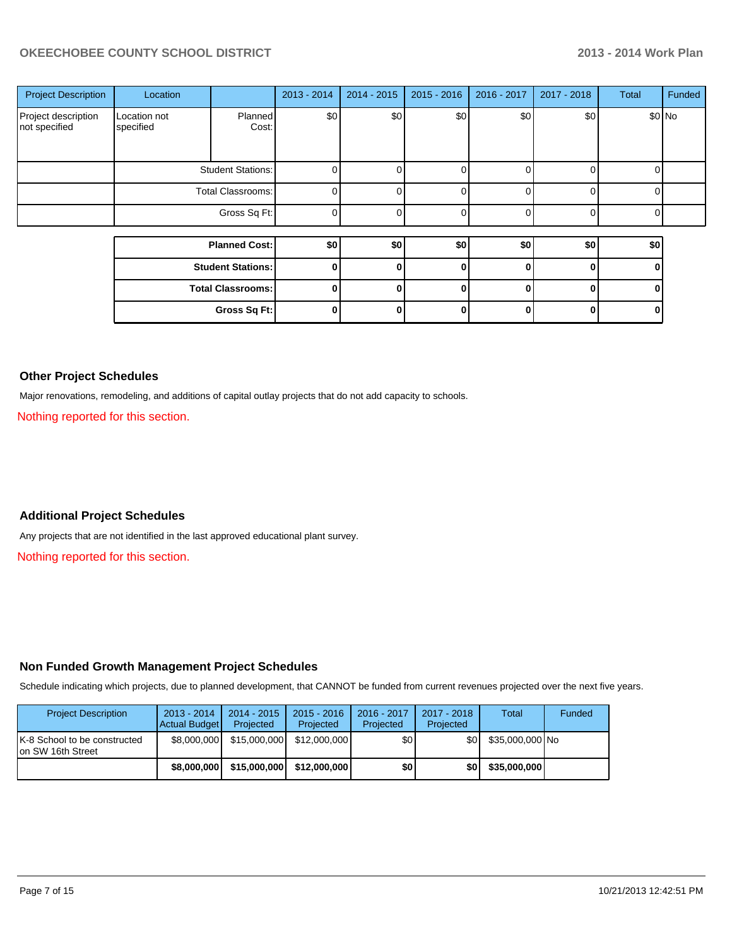#### **OKEECHOBEE COUNTY SCHOOL DISTRICT 2013 - 2014 Work Plan**

| <b>Project Description</b>           | Location                  |                          | 2013 - 2014 | $2014 - 2015$ | $2015 - 2016$ | 2016 - 2017 | $2017 - 2018$ | <b>Total</b> | Funded  |
|--------------------------------------|---------------------------|--------------------------|-------------|---------------|---------------|-------------|---------------|--------------|---------|
| Project description<br>not specified | Location not<br>specified | <b>Planned</b><br>Cost:  | \$0         | \$0           | \$0           | \$0         | \$0           |              | $$0$ No |
|                                      |                           | Student Stations:        | 0           |               |               |             | n             | 0            |         |
|                                      | Total Classrooms:         |                          | $\Omega$    |               | <sup>0</sup>  |             | $\Omega$      | 0            |         |
|                                      |                           | Gross Sq Ft:             | $\Omega$    |               | ሰ             |             | <sup>n</sup>  | 0            |         |
|                                      |                           |                          |             |               |               |             |               |              |         |
|                                      |                           | <b>Planned Cost:</b>     | \$0         | \$0           | \$0           | \$0         | \$0           | \$0          |         |
|                                      |                           | <b>Student Stations:</b> | 0           |               | 0             | U           | $\Omega$      | 0            |         |
|                                      |                           | <b>Total Classrooms:</b> | 0           |               | 0             |             | O             | ŋ            |         |
|                                      |                           | Gross Sq Ft:             | 0           |               | 0             |             | 0             | 0            |         |

#### **Other Project Schedules**

Major renovations, remodeling, and additions of capital outlay projects that do not add capacity to schools.

Nothing reported for this section.

#### **Additional Project Schedules**

Any projects that are not identified in the last approved educational plant survey.

Nothing reported for this section.

#### **Non Funded Growth Management Project Schedules**

Schedule indicating which projects, due to planned development, that CANNOT be funded from current revenues projected over the next five years.

| <b>Project Description</b>                          | $2013 - 2014$<br>Actual Budget | 2014 - 2015<br>Projected | $2015 - 2016$<br>Projected | 2016 - 2017<br>Projected | 2017 - 2018<br>Projected | Total           | Funded |
|-----------------------------------------------------|--------------------------------|--------------------------|----------------------------|--------------------------|--------------------------|-----------------|--------|
| IK-8 School to be constructed<br>Ion SW 16th Street | \$8,000,000                    | \$15,000,000             | \$12,000,000               | \$0                      | \$OI                     | \$35,000,000 No |        |
|                                                     | \$8,000,000                    | \$15,000,000             | \$12,000,000               | \$0                      | \$0                      | \$35,000,000    |        |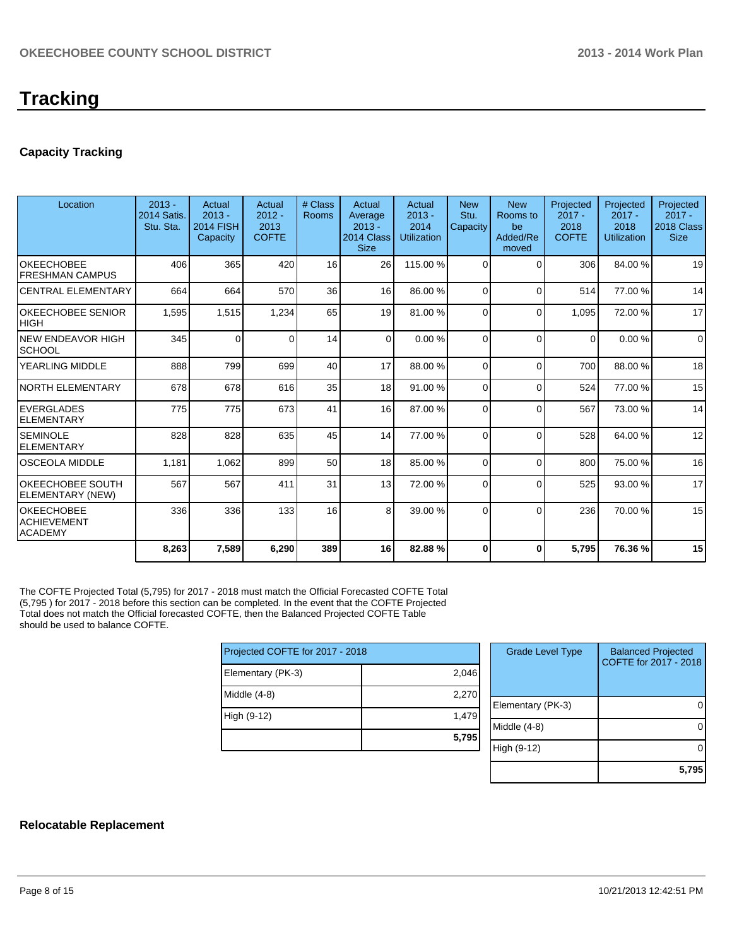#### **Capacity Tracking**

| Location                                                  | $2013 -$<br>2014 Satis.<br>Stu. Sta. | Actual<br>$2013 -$<br><b>2014 FISH</b><br>Capacity | Actual<br>$2012 -$<br>2013<br><b>COFTE</b> | # Class<br><b>Rooms</b> | Actual<br>Average<br>$2013 -$<br>2014 Class<br><b>Size</b> | Actual<br>$2013 -$<br>2014<br><b>Utilization</b> | <b>New</b><br>Stu.<br>Capacity | <b>New</b><br>Rooms to<br>be<br>Added/Re<br>moved | Projected<br>$2017 -$<br>2018<br><b>COFTE</b> | Projected<br>$2017 -$<br>2018<br>Utilization | Projected<br>$2017 -$<br>2018 Class<br><b>Size</b> |
|-----------------------------------------------------------|--------------------------------------|----------------------------------------------------|--------------------------------------------|-------------------------|------------------------------------------------------------|--------------------------------------------------|--------------------------------|---------------------------------------------------|-----------------------------------------------|----------------------------------------------|----------------------------------------------------|
| <b>OKEECHOBEE</b><br><b>FRESHMAN CAMPUS</b>               | 406                                  | 365                                                | 420                                        | 16                      | 26                                                         | 115.00 %                                         | $\Omega$                       | $\Omega$                                          | 306                                           | 84.00%                                       | 19                                                 |
| <b>CENTRAL ELEMENTARY</b>                                 | 664                                  | 664                                                | 570                                        | 36                      | 16                                                         | 86.00 %                                          | $\Omega$                       | $\Omega$                                          | 514                                           | 77.00 %                                      | 14                                                 |
| <b>OKEECHOBEE SENIOR</b><br><b>HIGH</b>                   | 1,595                                | 1,515                                              | 1,234                                      | 65                      | 19                                                         | 81.00 %                                          | 0                              | $\Omega$                                          | 1,095                                         | 72.00 %                                      | 17                                                 |
| <b>NEW ENDEAVOR HIGH</b><br><b>SCHOOL</b>                 | 345                                  | $\Omega$                                           | $\Omega$                                   | 14                      | $\Omega$                                                   | 0.00%                                            | $\Omega$                       | $\Omega$                                          | $\Omega$                                      | 0.00%                                        | $\Omega$                                           |
| <b>YEARLING MIDDLE</b>                                    | 888                                  | 799                                                | 699                                        | 40                      | 17                                                         | 88.00 %                                          | $\Omega$                       | $\Omega$                                          | 700                                           | 88.00 %                                      | 18                                                 |
| NORTH ELEMENTARY                                          | 678                                  | 678                                                | 616                                        | 35                      | 18 <sup>1</sup>                                            | 91.00 %                                          | $\Omega$                       | $\Omega$                                          | 524                                           | 77.00 %                                      | 15                                                 |
| <b>EVERGLADES</b><br><b>ELEMENTARY</b>                    | 775                                  | 775                                                | 673                                        | 41                      | 16                                                         | 87.00 %                                          | $\Omega$                       | $\Omega$                                          | 567                                           | 73.00 %                                      | 14                                                 |
| <b>SEMINOLE</b><br><b>ELEMENTARY</b>                      | 828                                  | 828                                                | 635                                        | 45                      | 14                                                         | 77.00 %                                          | $\Omega$                       | $\Omega$                                          | 528                                           | 64.00%                                       | 12                                                 |
| <b>OSCEOLA MIDDLE</b>                                     | 1,181                                | 1,062                                              | 899                                        | 50                      | 18 <sup>1</sup>                                            | 85.00 %                                          | $\Omega$                       | $\Omega$                                          | 800                                           | 75.00 %                                      | 16                                                 |
| OKEECHOBEE SOUTH<br>ELEMENTARY (NEW)                      | 567                                  | 567                                                | 411                                        | 31                      | 13                                                         | 72.00 %                                          | $\Omega$                       | $\Omega$                                          | 525                                           | 93.00 %                                      | 17                                                 |
| <b>OKEECHOBEE</b><br><b>ACHIEVEMENT</b><br><b>ACADEMY</b> | 336                                  | 336                                                | 133                                        | 16                      | 8 <sup>1</sup>                                             | 39.00 %                                          | $\Omega$                       | $\Omega$                                          | 236                                           | 70.00%                                       | 15                                                 |
|                                                           | 8,263                                | 7,589                                              | 6,290                                      | 389                     | 16                                                         | 82.88%                                           | 0                              | $\bf{0}$                                          | 5,795                                         | 76.36%                                       | 15                                                 |

The COFTE Projected Total (5,795) for 2017 - 2018 must match the Official Forecasted COFTE Total (5,795 ) for 2017 - 2018 before this section can be completed. In the event that the COFTE Projected Total does not match the Official forecasted COFTE, then the Balanced Projected COFTE Table should be used to balance COFTE.

| Projected COFTE for 2017 - 2018 |       |  |  |  |  |  |
|---------------------------------|-------|--|--|--|--|--|
| Elementary (PK-3)               | 2,046 |  |  |  |  |  |
| Middle (4-8)                    | 2,270 |  |  |  |  |  |
| High (9-12)                     | 1,479 |  |  |  |  |  |
|                                 | 5,795 |  |  |  |  |  |

| <b>Grade Level Type</b> | <b>Balanced Projected</b><br>COFTE for 2017 - 2018 |
|-------------------------|----------------------------------------------------|
| Elementary (PK-3)       |                                                    |
| Middle (4-8)            |                                                    |
| High (9-12)             |                                                    |
|                         | 5.79                                               |

#### **Relocatable Replacement**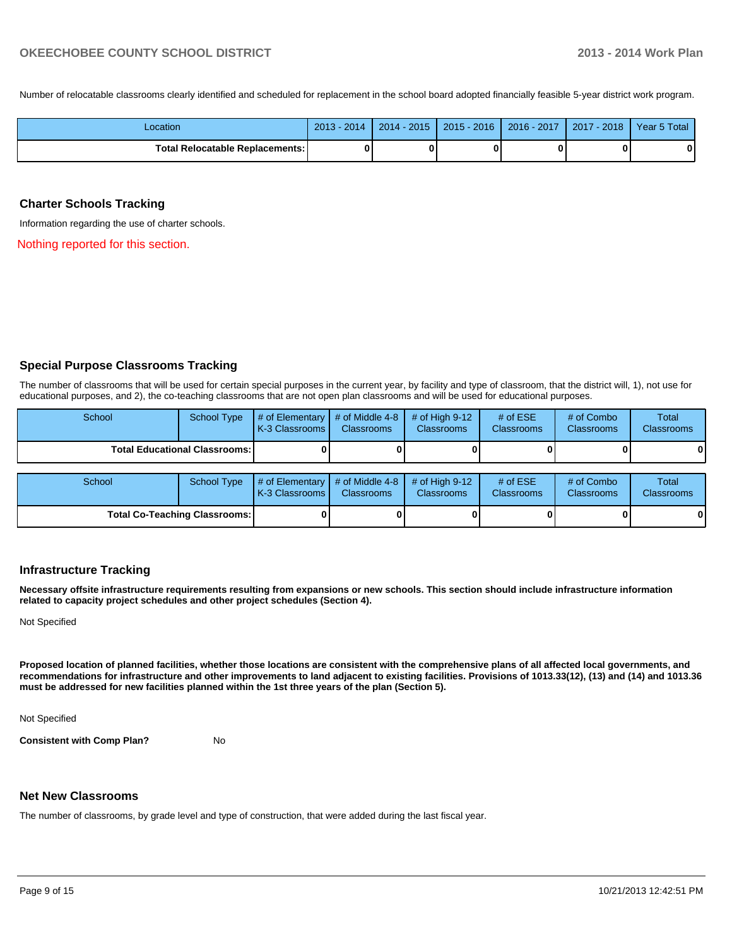Number of relocatable classrooms clearly identified and scheduled for replacement in the school board adopted financially feasible 5-year district work program.

| _ocation                        | $-2014$<br>$2013 -$ | $2014 - 2015$ | $2015 - 2016$ | 2016 - 2017 | $-2018$<br>2017 | Year 5 Total |
|---------------------------------|---------------------|---------------|---------------|-------------|-----------------|--------------|
| Total Relocatable Replacements: |                     |               |               |             |                 | 0            |

#### **Charter Schools Tracking**

Information regarding the use of charter schools.

Nothing reported for this section.

#### **Special Purpose Classrooms Tracking**

The number of classrooms that will be used for certain special purposes in the current year, by facility and type of classroom, that the district will, 1), not use for educational purposes, and 2), the co-teaching classrooms that are not open plan classrooms and will be used for educational purposes.

| School | <b>School Type</b>                     | $\parallel$ # of Elementary $\parallel$ # of Middle 4-8 $\parallel$<br><b>K-3 Classrooms I</b> | <b>Classrooms</b> | $\#$ of High 9-12  <br><b>Classrooms</b> | # of $ESE$<br><b>Classrooms</b> | # of Combo<br><b>Classrooms</b> | Total<br><b>Classrooms</b> |
|--------|----------------------------------------|------------------------------------------------------------------------------------------------|-------------------|------------------------------------------|---------------------------------|---------------------------------|----------------------------|
|        | <b>Total Educational Classrooms: I</b> |                                                                                                |                   |                                          |                                 | 0                               | $\mathbf 0$                |
|        |                                        |                                                                                                |                   |                                          |                                 |                                 |                            |
| School | School Type                            | $\parallel$ # of Elementary $\parallel$ # of Middle 4-8 $\parallel$                            |                   | # of High 9-12<br><b>Classification</b>  | # of $ESE$<br>Olanger and a     | # of Combo<br>Olangua anno      | Total<br>Olanger and a     |

| ------                        | $\sim$ | $\blacksquare$ $\blacksquare$ $\blacksquare$ $\blacksquare$ $\blacksquare$ $\blacksquare$ $\blacksquare$ $\blacksquare$ $\blacksquare$ $\blacksquare$ $\blacksquare$ $\blacksquare$ $\blacksquare$ $\blacksquare$ $\blacksquare$ $\blacksquare$ $\blacksquare$ $\blacksquare$ $\blacksquare$ $\blacksquare$ $\blacksquare$ $\blacksquare$ $\blacksquare$ $\blacksquare$ $\blacksquare$ $\blacksquare$ $\blacksquare$ $\blacksquare$ $\blacksquare$ $\blacksquare$ $\blacksquare$ $\blacks$<br><b>K-3 Classrooms I</b> | <b>Classrooms</b> | <b>Classrooms</b> | . <del>.</del><br><b>Classrooms</b> | $\sim$ $\sim$ $\sim$ $\sim$ $\sim$ $\sim$<br><b>Classrooms</b> | .<br><b>Classrooms</b> |
|-------------------------------|--------|-----------------------------------------------------------------------------------------------------------------------------------------------------------------------------------------------------------------------------------------------------------------------------------------------------------------------------------------------------------------------------------------------------------------------------------------------------------------------------------------------------------------------|-------------------|-------------------|-------------------------------------|----------------------------------------------------------------|------------------------|
| Total Co-Teaching Classrooms: |        |                                                                                                                                                                                                                                                                                                                                                                                                                                                                                                                       |                   |                   |                                     |                                                                | 0                      |

#### **Infrastructure Tracking**

**Necessary offsite infrastructure requirements resulting from expansions or new schools. This section should include infrastructure information related to capacity project schedules and other project schedules (Section 4).**

Not Specified

**Proposed location of planned facilities, whether those locations are consistent with the comprehensive plans of all affected local governments, and recommendations for infrastructure and other improvements to land adjacent to existing facilities. Provisions of 1013.33(12), (13) and (14) and 1013.36 must be addressed for new facilities planned within the 1st three years of the plan (Section 5).**

Not Specified

**Consistent with Comp Plan?** No

#### **Net New Classrooms**

The number of classrooms, by grade level and type of construction, that were added during the last fiscal year.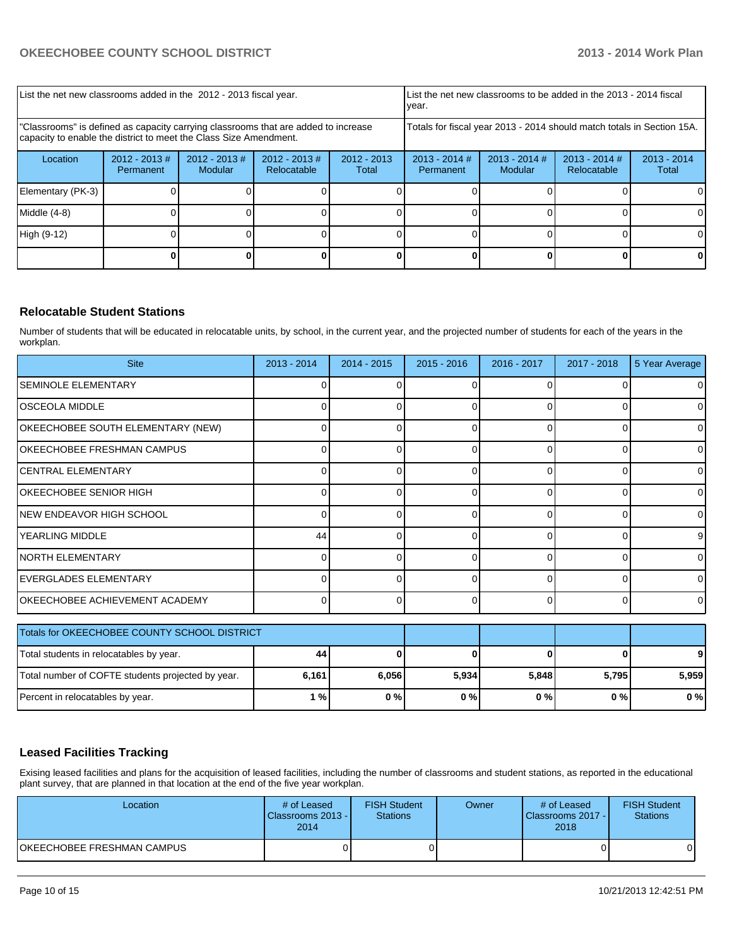| List the net new classrooms added in the 2012 - 2013 fiscal year.                                                                                       | List the net new classrooms to be added in the 2013 - 2014 fiscal<br>Ivear. |                            |                                |                        |                                                                        |                            |                                |                        |
|---------------------------------------------------------------------------------------------------------------------------------------------------------|-----------------------------------------------------------------------------|----------------------------|--------------------------------|------------------------|------------------------------------------------------------------------|----------------------------|--------------------------------|------------------------|
| "Classrooms" is defined as capacity carrying classrooms that are added to increase<br>capacity to enable the district to meet the Class Size Amendment. |                                                                             |                            |                                |                        | Totals for fiscal year 2013 - 2014 should match totals in Section 15A. |                            |                                |                        |
| Location                                                                                                                                                | $2012 - 2013 \#$<br>Permanent                                               | $2012 - 2013$ #<br>Modular | $2012 - 2013$ #<br>Relocatable | $2012 - 2013$<br>Total | $2013 - 2014$ #<br>Permanent                                           | $2013 - 2014$ #<br>Modular | $2013 - 2014$ #<br>Relocatable | $2013 - 2014$<br>Total |
| Elementary (PK-3)                                                                                                                                       |                                                                             |                            |                                |                        |                                                                        |                            |                                |                        |
| Middle $(4-8)$                                                                                                                                          |                                                                             |                            |                                |                        |                                                                        |                            |                                | ΟI                     |
| High (9-12)                                                                                                                                             |                                                                             |                            |                                |                        |                                                                        |                            |                                | 0                      |
|                                                                                                                                                         |                                                                             |                            |                                |                        |                                                                        |                            |                                |                        |

#### **Relocatable Student Stations**

Number of students that will be educated in relocatable units, by school, in the current year, and the projected number of students for each of the years in the workplan.

| <b>Site</b>                           | $2013 - 2014$ | $2014 - 2015$ | $2015 - 2016$ | 2016 - 2017 | $2017 - 2018$ | 5 Year Average |
|---------------------------------------|---------------|---------------|---------------|-------------|---------------|----------------|
| <b>SEMINOLE ELEMENTARY</b>            |               |               |               |             |               | $\Omega$       |
| <b> OSCEOLA MIDDLE</b>                |               |               |               |             |               | $\Omega$       |
| OKEECHOBEE SOUTH ELEMENTARY (NEW)     |               |               |               |             |               | 0              |
| OKEECHOBEE FRESHMAN CAMPUS            |               |               |               | ∩           |               | 0              |
| ICENTRAL ELEMENTARY                   |               |               | 0             | 0           |               | $\overline{0}$ |
| OKEECHOBEE SENIOR HIGH                |               |               | <sup>0</sup>  | $\Omega$    |               | $\overline{0}$ |
| INEW ENDEAVOR HIGH SCHOOL             |               |               |               | $\Omega$    |               | $\overline{0}$ |
| IYEARLING MIDDLE                      | 44            |               | 0             | $\Omega$    |               | 9 <sub>l</sub> |
| INORTH ELEMENTARY                     |               |               | ∩             | ∩           |               | $\Omega$       |
| EVERGLADES ELEMENTARY                 |               |               | U             | $\Omega$    |               | $\Omega$       |
| <b>OKEECHOBEE ACHIEVEMENT ACADEMY</b> |               |               | $\Omega$      | $\Omega$    |               | $\Omega$       |

| Totals for OKEECHOBEE COUNTY SCHOOL DISTRICT      |       |       |       |       |       |       |
|---------------------------------------------------|-------|-------|-------|-------|-------|-------|
| Total students in relocatables by year.           | 44    |       |       |       |       | 9     |
| Total number of COFTE students projected by year. | 6.161 | 6.056 | 5,934 | 5.848 | 5.795 | 5.959 |
| Percent in relocatables by year.                  | 1 % l | 0%    | 0%    | 0%    | 0%    | 0%    |

#### **Leased Facilities Tracking**

Exising leased facilities and plans for the acquisition of leased facilities, including the number of classrooms and student stations, as reported in the educational plant survey, that are planned in that location at the end of the five year workplan.

| Location                   | # of Leased<br>Classrooms 2013 - I<br>2014 | <b>FISH Student</b><br><b>Stations</b> | Owner | # of Leased<br>Classrooms 2017 -<br>2018 | <b>FISH Student</b><br><b>Stations</b> |
|----------------------------|--------------------------------------------|----------------------------------------|-------|------------------------------------------|----------------------------------------|
| OKEECHOBEE FRESHMAN CAMPUS |                                            |                                        |       |                                          | οı                                     |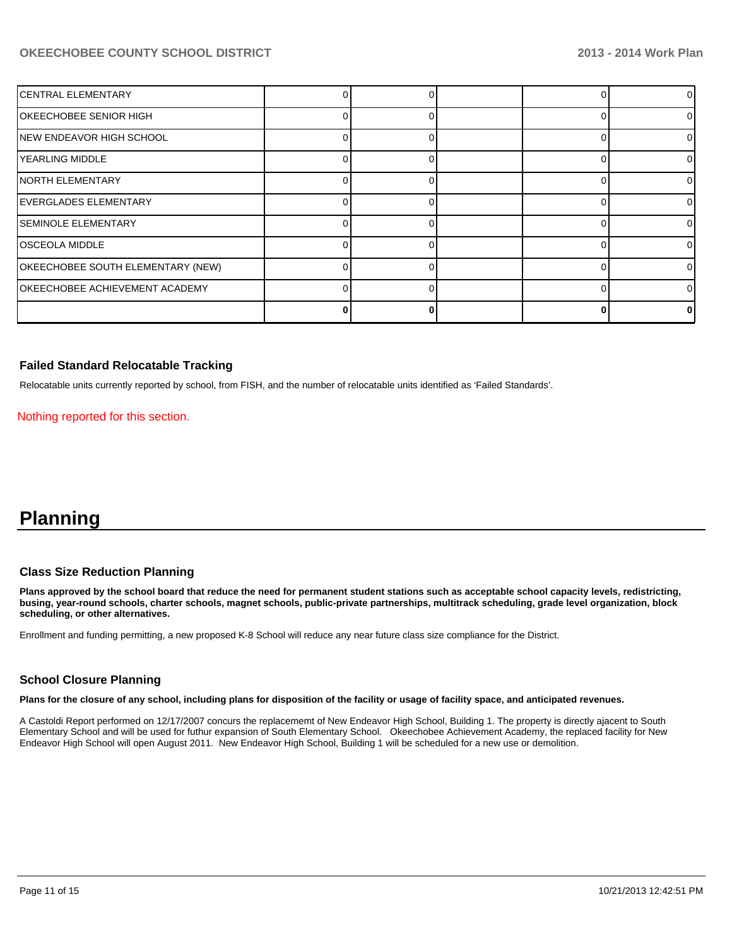#### **OKEECHOBEE COUNTY SCHOOL DISTRICT 2013 - 2014 Work Plan**

| <b>CENTRAL ELEMENTARY</b>             |  |  | 01       |
|---------------------------------------|--|--|----------|
| OKEECHOBEE SENIOR HIGH                |  |  | 01       |
| NEW ENDEAVOR HIGH SCHOOL              |  |  | 01       |
| YEARLING MIDDLE                       |  |  | 01       |
| INORTH ELEMENTARY                     |  |  | 01       |
| <b>EVERGLADES ELEMENTARY</b>          |  |  | $\Omega$ |
| <b>SEMINOLE ELEMENTARY</b>            |  |  | 01       |
| <b>OSCEOLA MIDDLE</b>                 |  |  | $\Omega$ |
| OKEECHOBEE SOUTH ELEMENTARY (NEW)     |  |  | $\Omega$ |
| <b>OKEECHOBEE ACHIEVEMENT ACADEMY</b> |  |  | 01       |
|                                       |  |  | n.       |

#### **Failed Standard Relocatable Tracking**

Relocatable units currently reported by school, from FISH, and the number of relocatable units identified as 'Failed Standards'.

Nothing reported for this section.

## **Planning**

#### **Class Size Reduction Planning**

**Plans approved by the school board that reduce the need for permanent student stations such as acceptable school capacity levels, redistricting, busing, year-round schools, charter schools, magnet schools, public-private partnerships, multitrack scheduling, grade level organization, block scheduling, or other alternatives.**

Enrollment and funding permitting, a new proposed K-8 School will reduce any near future class size compliance for the District.

#### **School Closure Planning**

**Plans for the closure of any school, including plans for disposition of the facility or usage of facility space, and anticipated revenues.**

A Castoldi Report performed on 12/17/2007 concurs the replacememt of New Endeavor High School, Building 1. The property is directly ajacent to South Elementary School and will be used for futhur expansion of South Elementary School. Okeechobee Achievement Academy, the replaced facility for New Endeavor High School will open August 2011. New Endeavor High School, Building 1 will be scheduled for a new use or demolition.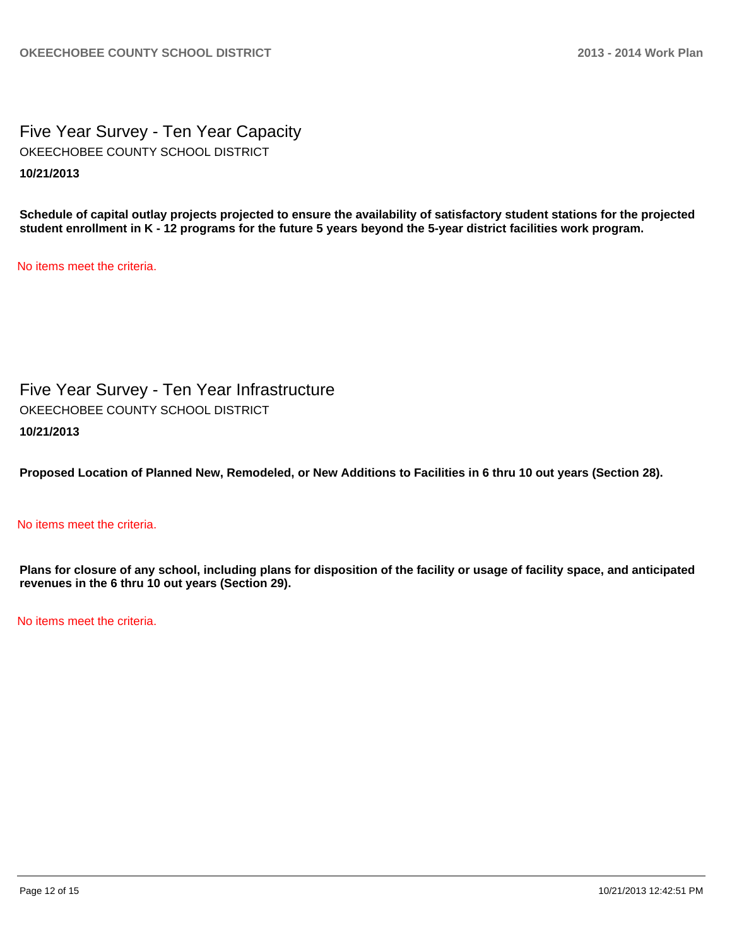Five Year Survey - Ten Year Capacity **10/21/2013** OKEECHOBEE COUNTY SCHOOL DISTRICT

**Schedule of capital outlay projects projected to ensure the availability of satisfactory student stations for the projected student enrollment in K - 12 programs for the future 5 years beyond the 5-year district facilities work program.**

No items meet the criteria.

Five Year Survey - Ten Year Infrastructure **10/21/2013** OKEECHOBEE COUNTY SCHOOL DISTRICT

**Proposed Location of Planned New, Remodeled, or New Additions to Facilities in 6 thru 10 out years (Section 28).**

#### No items meet the criteria.

**Plans for closure of any school, including plans for disposition of the facility or usage of facility space, and anticipated revenues in the 6 thru 10 out years (Section 29).**

No items meet the criteria.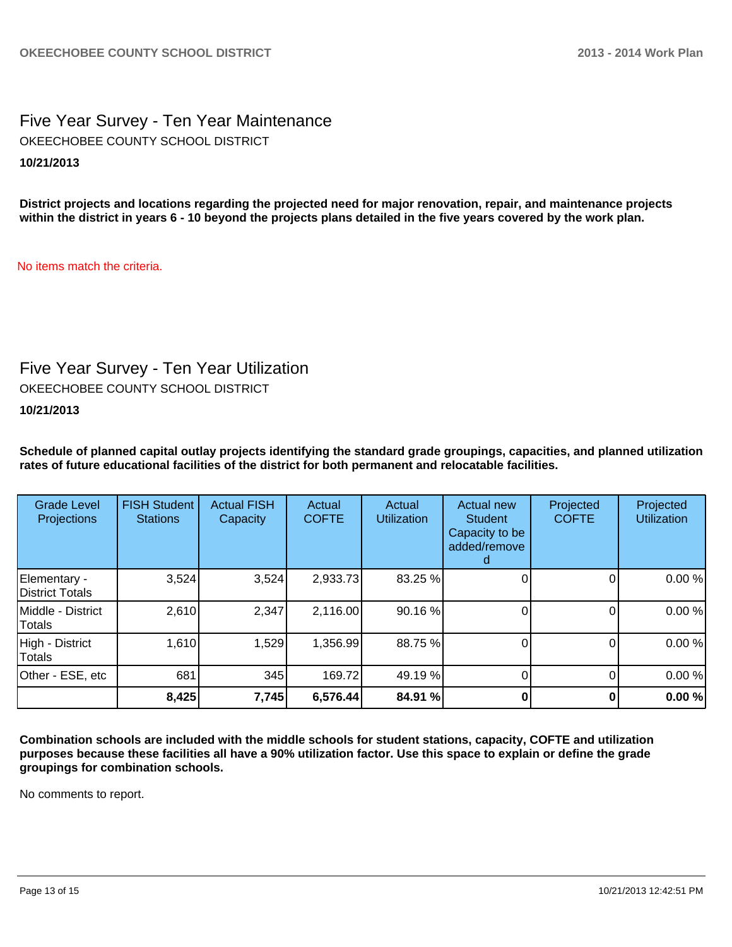Five Year Survey - Ten Year Maintenance **10/21/2013** OKEECHOBEE COUNTY SCHOOL DISTRICT

**District projects and locations regarding the projected need for major renovation, repair, and maintenance projects within the district in years 6 - 10 beyond the projects plans detailed in the five years covered by the work plan.**

No items match the criteria.

## Five Year Survey - Ten Year Utilization

OKEECHOBEE COUNTY SCHOOL DISTRICT

#### **10/21/2013**

**Schedule of planned capital outlay projects identifying the standard grade groupings, capacities, and planned utilization rates of future educational facilities of the district for both permanent and relocatable facilities.**

| <b>Grade Level</b><br>Projections | <b>FISH Student</b><br><b>Stations</b> | <b>Actual FISH</b><br>Capacity | Actual<br><b>COFTE</b> | Actual<br><b>Utilization</b> | Actual new<br><b>Student</b><br>Capacity to be<br>added/remove<br>d | Projected<br><b>COFTE</b> | Projected<br><b>Utilization</b> |
|-----------------------------------|----------------------------------------|--------------------------------|------------------------|------------------------------|---------------------------------------------------------------------|---------------------------|---------------------------------|
| Elementary -<br>District Totals   | 3,524                                  | 3,524                          | 2,933.73               | 83.25 %                      |                                                                     |                           | 0.00%                           |
| Middle - District<br>Totals       | 2,610                                  | 2,347                          | 2,116.00               | 90.16 %                      |                                                                     |                           | 0.00%                           |
| High - District<br><b>Totals</b>  | 1,610                                  | 1,529                          | 1,356.99               | 88.75 %                      |                                                                     |                           | 0.00%                           |
| Other - ESE, etc                  | 681                                    | 345                            | 169.72                 | 49.19 %                      |                                                                     |                           | 0.00%                           |
|                                   | 8,425                                  | 7,745                          | 6,576.44               | 84.91 %                      |                                                                     |                           | 0.00%                           |

**Combination schools are included with the middle schools for student stations, capacity, COFTE and utilization purposes because these facilities all have a 90% utilization factor. Use this space to explain or define the grade groupings for combination schools.**

No comments to report.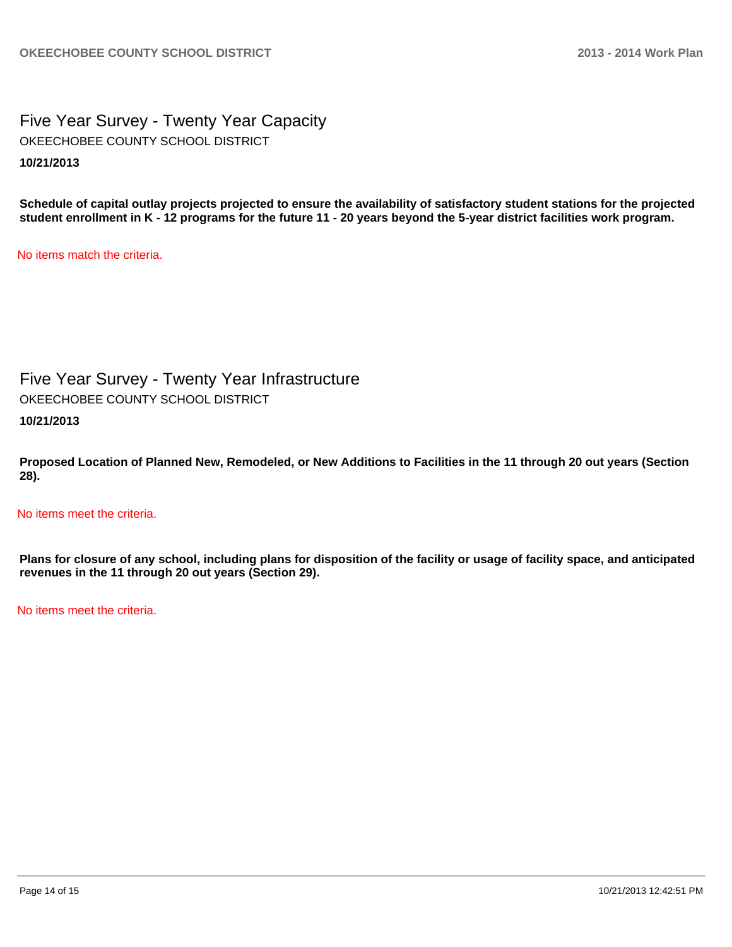Five Year Survey - Twenty Year Capacity **10/21/2013** OKEECHOBEE COUNTY SCHOOL DISTRICT

**Schedule of capital outlay projects projected to ensure the availability of satisfactory student stations for the projected student enrollment in K - 12 programs for the future 11 - 20 years beyond the 5-year district facilities work program.**

No items match the criteria.

Five Year Survey - Twenty Year Infrastructure

OKEECHOBEE COUNTY SCHOOL DISTRICT

**10/21/2013**

**Proposed Location of Planned New, Remodeled, or New Additions to Facilities in the 11 through 20 out years (Section 28).**

No items meet the criteria.

**Plans for closure of any school, including plans for disposition of the facility or usage of facility space, and anticipated revenues in the 11 through 20 out years (Section 29).**

No items meet the criteria.